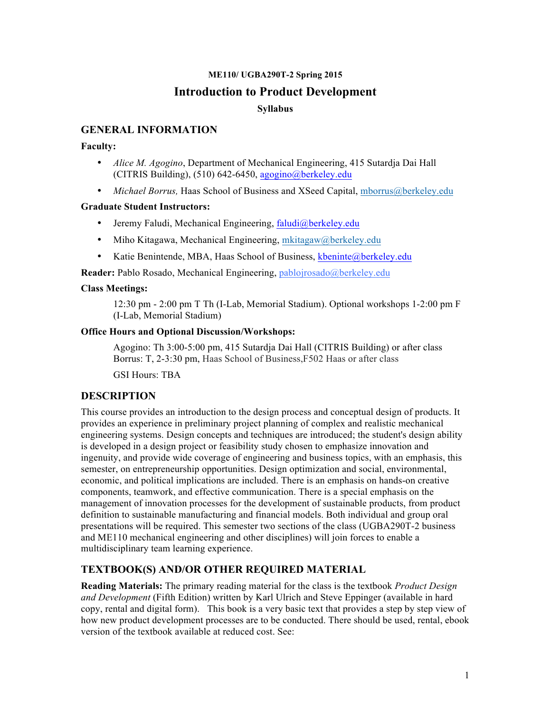### **ME110/ UGBA290T-2 Spring 2015**

### **Introduction to Product Development**

### **Syllabus**

### **GENERAL INFORMATION**

#### **Faculty:**

- *Alice M. Agogino*, Department of Mechanical Engineering, 415 Sutardja Dai Hall (CITRIS Building),  $(510)$  642-6450, agogino@berkeley.edu
- *Michael Borrus, Haas School of Business and XSeed Capital, mborrus@berkeley.edu*

#### **Graduate Student Instructors:**

- Jeremy Faludi, Mechanical Engineering, faludi@berkeley.edu
- Miho Kitagawa, Mechanical Engineering, mkitagaw@berkeley.edu
- Katie Benintende, MBA, Haas School of Business, kbeninte@berkeley.edu

**Reader:** Pablo Rosado, Mechanical Engineering, pablojrosado@berkeley.edu

### **Class Meetings:**

12:30 pm - 2:00 pm T Th (I-Lab, Memorial Stadium). Optional workshops 1-2:00 pm F (I-Lab, Memorial Stadium)

### **Office Hours and Optional Discussion/Workshops:**

Agogino: Th 3:00-5:00 pm, 415 Sutardja Dai Hall (CITRIS Building) or after class Borrus: T, 2-3:30 pm, Haas School of Business,F502 Haas or after class

GSI Hours: TBA

### **DESCRIPTION**

This course provides an introduction to the design process and conceptual design of products. It provides an experience in preliminary project planning of complex and realistic mechanical engineering systems. Design concepts and techniques are introduced; the student's design ability is developed in a design project or feasibility study chosen to emphasize innovation and ingenuity, and provide wide coverage of engineering and business topics, with an emphasis, this semester, on entrepreneurship opportunities. Design optimization and social, environmental, economic, and political implications are included. There is an emphasis on hands-on creative components, teamwork, and effective communication. There is a special emphasis on the management of innovation processes for the development of sustainable products, from product definition to sustainable manufacturing and financial models. Both individual and group oral presentations will be required. This semester two sections of the class (UGBA290T-2 business and ME110 mechanical engineering and other disciplines) will join forces to enable a multidisciplinary team learning experience.

## **TEXTBOOK(S) AND/OR OTHER REQUIRED MATERIAL**

**Reading Materials:** The primary reading material for the class is the textbook *Product Design and Development* (Fifth Edition) written by Karl Ulrich and Steve Eppinger (available in hard copy, rental and digital form). This book is a very basic text that provides a step by step view of how new product development processes are to be conducted. There should be used, rental, ebook version of the textbook available at reduced cost. See: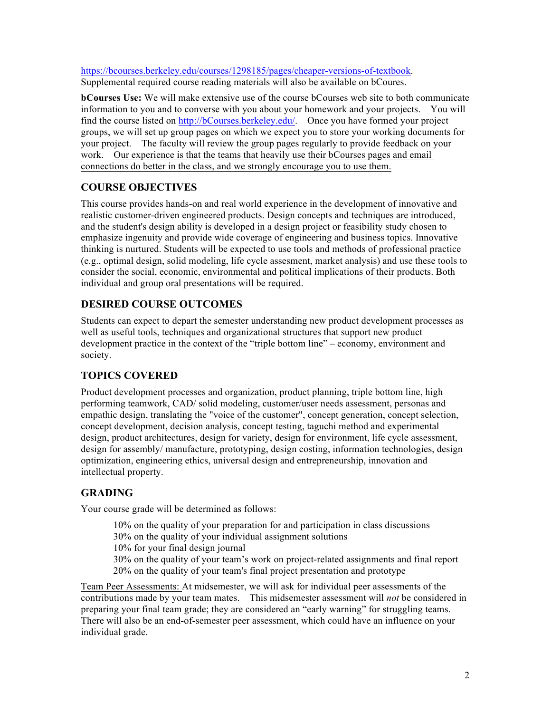https://bcourses.berkeley.edu/courses/1298185/pages/cheaper-versions-of-textbook. Supplemental required course reading materials will also be available on bCoures.

**bCourses Use:** We will make extensive use of the course bCourses web site to both communicate information to you and to converse with you about your homework and your projects. You will find the course listed on http://bCourses.berkeley.edu/. Once you have formed your project groups, we will set up group pages on which we expect you to store your working documents for your project. The faculty will review the group pages regularly to provide feedback on your work. Our experience is that the teams that heavily use their bCourses pages and email connections do better in the class, and we strongly encourage you to use them.

# **COURSE OBJECTIVES**

This course provides hands-on and real world experience in the development of innovative and realistic customer-driven engineered products. Design concepts and techniques are introduced, and the student's design ability is developed in a design project or feasibility study chosen to emphasize ingenuity and provide wide coverage of engineering and business topics. Innovative thinking is nurtured. Students will be expected to use tools and methods of professional practice (e.g., optimal design, solid modeling, life cycle assesment, market analysis) and use these tools to consider the social, economic, environmental and political implications of their products. Both individual and group oral presentations will be required.

# **DESIRED COURSE OUTCOMES**

Students can expect to depart the semester understanding new product development processes as well as useful tools, techniques and organizational structures that support new product development practice in the context of the "triple bottom line" – economy, environment and society.

# **TOPICS COVERED**

Product development processes and organization, product planning, triple bottom line, high performing teamwork, CAD/ solid modeling, customer/user needs assessment, personas and empathic design, translating the "voice of the customer", concept generation, concept selection, concept development, decision analysis, concept testing, taguchi method and experimental design, product architectures, design for variety, design for environment, life cycle assessment, design for assembly/ manufacture, prototyping, design costing, information technologies, design optimization, engineering ethics, universal design and entrepreneurship, innovation and intellectual property.

## **GRADING**

Your course grade will be determined as follows:

10% on the quality of your preparation for and participation in class discussions 30% on the quality of your individual assignment solutions 10% for your final design journal 30% on the quality of your team's work on project-related assignments and final report 20% on the quality of your team's final project presentation and prototype

Team Peer Assessments: At midsemester, we will ask for individual peer assessments of the contributions made by your team mates. This midsemester assessment will *not* be considered in preparing your final team grade; they are considered an "early warning" for struggling teams. There will also be an end-of-semester peer assessment, which could have an influence on your individual grade.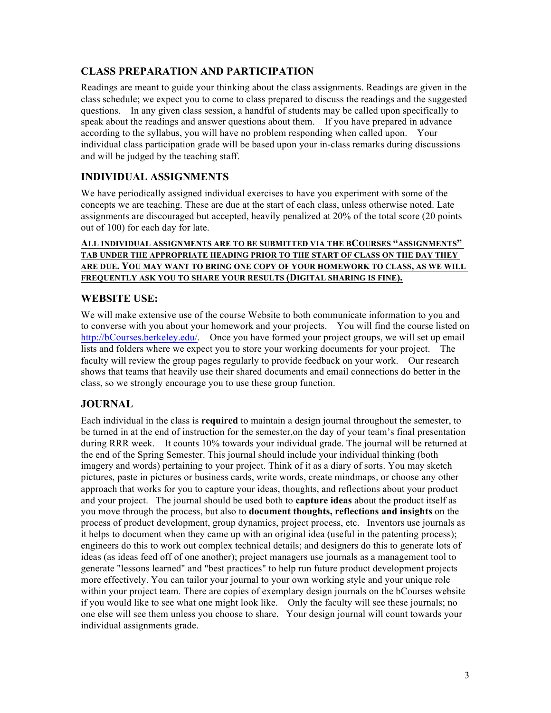## **CLASS PREPARATION AND PARTICIPATION**

Readings are meant to guide your thinking about the class assignments. Readings are given in the class schedule; we expect you to come to class prepared to discuss the readings and the suggested questions. In any given class session, a handful of students may be called upon specifically to speak about the readings and answer questions about them. If you have prepared in advance according to the syllabus, you will have no problem responding when called upon. Your individual class participation grade will be based upon your in-class remarks during discussions and will be judged by the teaching staff.

## **INDIVIDUAL ASSIGNMENTS**

We have periodically assigned individual exercises to have you experiment with some of the concepts we are teaching. These are due at the start of each class, unless otherwise noted. Late assignments are discouraged but accepted, heavily penalized at 20% of the total score (20 points out of 100) for each day for late.

### **ALL INDIVIDUAL ASSIGNMENTS ARE TO BE SUBMITTED VIA THE BCOURSES "ASSIGNMENTS" TAB UNDER THE APPROPRIATE HEADING PRIOR TO THE START OF CLASS ON THE DAY THEY ARE DUE. YOU MAY WANT TO BRING ONE COPY OF YOUR HOMEWORK TO CLASS, AS WE WILL FREQUENTLY ASK YOU TO SHARE YOUR RESULTS (DIGITAL SHARING IS FINE).**

### **WEBSITE USE:**

We will make extensive use of the course Website to both communicate information to you and to converse with you about your homework and your projects. You will find the course listed on http://bCourses.berkeley.edu/. Once you have formed your project groups, we will set up email lists and folders where we expect you to store your working documents for your project. The faculty will review the group pages regularly to provide feedback on your work. Our research shows that teams that heavily use their shared documents and email connections do better in the class, so we strongly encourage you to use these group function.

## **JOURNAL**

Each individual in the class is **required** to maintain a design journal throughout the semester, to be turned in at the end of instruction for the semester,on the day of your team's final presentation during RRR week. It counts 10% towards your individual grade. The journal will be returned at the end of the Spring Semester. This journal should include your individual thinking (both imagery and words) pertaining to your project. Think of it as a diary of sorts. You may sketch pictures, paste in pictures or business cards, write words, create mindmaps, or choose any other approach that works for you to capture your ideas, thoughts, and reflections about your product and your project. The journal should be used both to **capture ideas** about the product itself as you move through the process, but also to **document thoughts, reflections and insights** on the process of product development, group dynamics, project process, etc. Inventors use journals as it helps to document when they came up with an original idea (useful in the patenting process); engineers do this to work out complex technical details; and designers do this to generate lots of ideas (as ideas feed off of one another); project managers use journals as a management tool to generate "lessons learned" and "best practices" to help run future product development projects more effectively. You can tailor your journal to your own working style and your unique role within your project team. There are copies of exemplary design journals on the bCourses website if you would like to see what one might look like. Only the faculty will see these journals; no one else will see them unless you choose to share. Your design journal will count towards your individual assignments grade.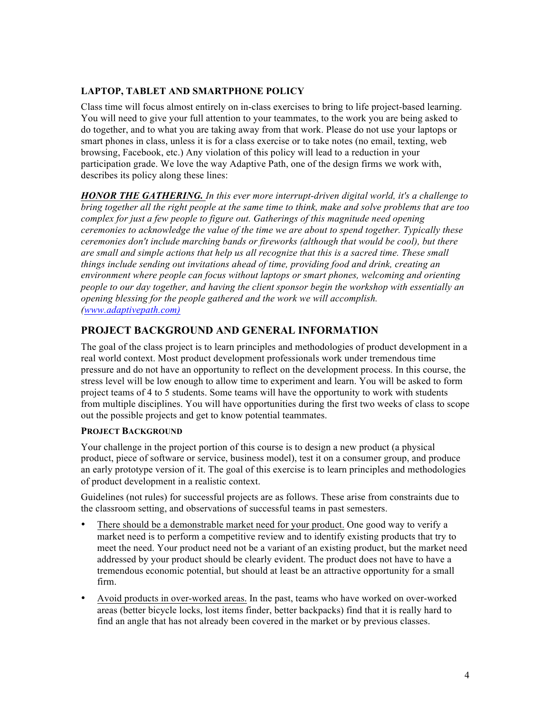### **LAPTOP, TABLET AND SMARTPHONE POLICY**

Class time will focus almost entirely on in-class exercises to bring to life project-based learning. You will need to give your full attention to your teammates, to the work you are being asked to do together, and to what you are taking away from that work. Please do not use your laptops or smart phones in class, unless it is for a class exercise or to take notes (no email, texting, web browsing, Facebook, etc.) Any violation of this policy will lead to a reduction in your participation grade. We love the way Adaptive Path, one of the design firms we work with, describes its policy along these lines:

*HONOR THE GATHERING. In this ever more interrupt-driven digital world, it's a challenge to bring together all the right people at the same time to think, make and solve problems that are too complex for just a few people to figure out. Gatherings of this magnitude need opening ceremonies to acknowledge the value of the time we are about to spend together. Typically these ceremonies don't include marching bands or fireworks (although that would be cool), but there are small and simple actions that help us all recognize that this is a sacred time. These small things include sending out invitations ahead of time, providing food and drink, creating an environment where people can focus without laptops or smart phones, welcoming and orienting people to our day together, and having the client sponsor begin the workshop with essentially an opening blessing for the people gathered and the work we will accomplish. (www.adaptivepath.com)*

## **PROJECT BACKGROUND AND GENERAL INFORMATION**

The goal of the class project is to learn principles and methodologies of product development in a real world context. Most product development professionals work under tremendous time pressure and do not have an opportunity to reflect on the development process. In this course, the stress level will be low enough to allow time to experiment and learn. You will be asked to form project teams of 4 to 5 students. Some teams will have the opportunity to work with students from multiple disciplines. You will have opportunities during the first two weeks of class to scope out the possible projects and get to know potential teammates.

### **PROJECT BACKGROUND**

Your challenge in the project portion of this course is to design a new product (a physical product, piece of software or service, business model), test it on a consumer group, and produce an early prototype version of it. The goal of this exercise is to learn principles and methodologies of product development in a realistic context.

Guidelines (not rules) for successful projects are as follows. These arise from constraints due to the classroom setting, and observations of successful teams in past semesters.

- There should be a demonstrable market need for your product. One good way to verify a market need is to perform a competitive review and to identify existing products that try to meet the need. Your product need not be a variant of an existing product, but the market need addressed by your product should be clearly evident. The product does not have to have a tremendous economic potential, but should at least be an attractive opportunity for a small firm.
- Avoid products in over-worked areas. In the past, teams who have worked on over-worked areas (better bicycle locks, lost items finder, better backpacks) find that it is really hard to find an angle that has not already been covered in the market or by previous classes.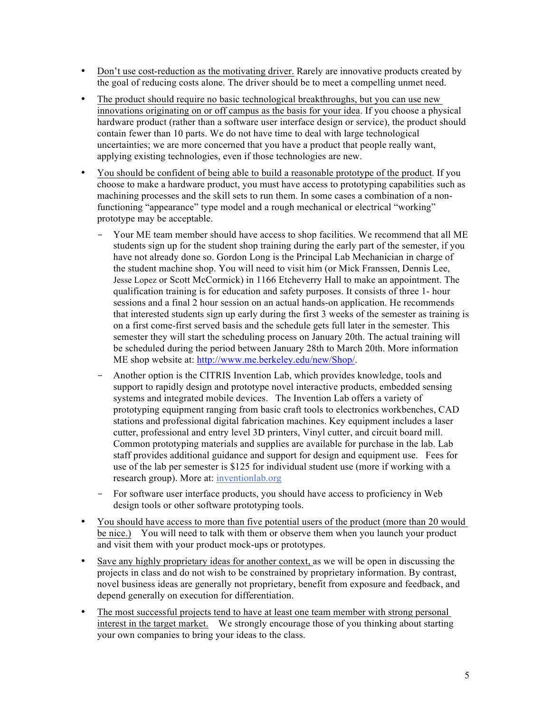- Don't use cost-reduction as the motivating driver. Rarely are innovative products created by the goal of reducing costs alone. The driver should be to meet a compelling unmet need.
- The product should require no basic technological breakthroughs, but you can use new innovations originating on or off campus as the basis for your idea. If you choose a physical hardware product (rather than a software user interface design or service), the product should contain fewer than 10 parts. We do not have time to deal with large technological uncertainties; we are more concerned that you have a product that people really want, applying existing technologies, even if those technologies are new.
- You should be confident of being able to build a reasonable prototype of the product. If you choose to make a hardware product, you must have access to prototyping capabilities such as machining processes and the skill sets to run them. In some cases a combination of a nonfunctioning "appearance" type model and a rough mechanical or electrical "working" prototype may be acceptable.
	- Your ME team member should have access to shop facilities. We recommend that all ME students sign up for the student shop training during the early part of the semester, if you have not already done so. Gordon Long is the Principal Lab Mechanician in charge of the student machine shop. You will need to visit him (or Mick Franssen, Dennis Lee, Jesse Lopez or Scott McCormick) in 1166 Etcheverry Hall to make an appointment. The qualification training is for education and safety purposes. It consists of three 1- hour sessions and a final 2 hour session on an actual hands-on application. He recommends that interested students sign up early during the first 3 weeks of the semester as training is on a first come-first served basis and the schedule gets full later in the semester. This semester they will start the scheduling process on January 20th. The actual training will be scheduled during the period between January 28th to March 20th. More information ME shop website at: http://www.me.berkeley.edu/new/Shop/.
	- Another option is the CITRIS Invention Lab, which provides knowledge, tools and support to rapidly design and prototype novel interactive products, embedded sensing systems and integrated mobile devices. The Invention Lab offers a variety of prototyping equipment ranging from basic craft tools to electronics workbenches, CAD stations and professional digital fabrication machines. Key equipment includes a laser cutter, professional and entry level 3D printers, Vinyl cutter, and circuit board mill. Common prototyping materials and supplies are available for purchase in the lab. Lab staff provides additional guidance and support for design and equipment use. Fees for use of the lab per semester is \$125 for individual student use (more if working with a research group). More at: inventionlab.org
	- For software user interface products, you should have access to proficiency in Web design tools or other software prototyping tools.
- You should have access to more than five potential users of the product (more than 20 would be nice.) You will need to talk with them or observe them when you launch your product and visit them with your product mock-ups or prototypes.
- Save any highly proprietary ideas for another context, as we will be open in discussing the projects in class and do not wish to be constrained by proprietary information. By contrast, novel business ideas are generally not proprietary, benefit from exposure and feedback, and depend generally on execution for differentiation.
- The most successful projects tend to have at least one team member with strong personal interest in the target market. We strongly encourage those of you thinking about starting your own companies to bring your ideas to the class.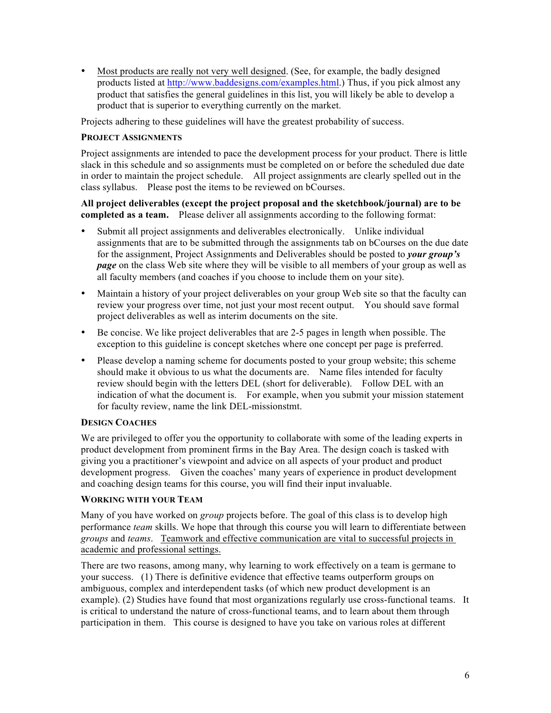• Most products are really not very well designed. (See, for example, the badly designed products listed at http://www.baddesigns.com/examples.html.) Thus, if you pick almost any product that satisfies the general guidelines in this list, you will likely be able to develop a product that is superior to everything currently on the market.

Projects adhering to these guidelines will have the greatest probability of success.

### **PROJECT ASSIGNMENTS**

Project assignments are intended to pace the development process for your product. There is little slack in this schedule and so assignments must be completed on or before the scheduled due date in order to maintain the project schedule. All project assignments are clearly spelled out in the class syllabus. Please post the items to be reviewed on bCourses.

### **All project deliverables (except the project proposal and the sketchbook/journal) are to be completed as a team.** Please deliver all assignments according to the following format:

- Submit all project assignments and deliverables electronically. Unlike individual assignments that are to be submitted through the assignments tab on bCourses on the due date for the assignment, Project Assignments and Deliverables should be posted to *your group's page* on the class Web site where they will be visible to all members of your group as well as all faculty members (and coaches if you choose to include them on your site).
- Maintain a history of your project deliverables on your group Web site so that the faculty can review your progress over time, not just your most recent output. You should save formal project deliverables as well as interim documents on the site.
- Be concise. We like project deliverables that are 2-5 pages in length when possible. The exception to this guideline is concept sketches where one concept per page is preferred.
- Please develop a naming scheme for documents posted to your group website; this scheme should make it obvious to us what the documents are. Name files intended for faculty review should begin with the letters DEL (short for deliverable). Follow DEL with an indication of what the document is. For example, when you submit your mission statement for faculty review, name the link DEL-missionstmt.

### **DESIGN COACHES**

We are privileged to offer you the opportunity to collaborate with some of the leading experts in product development from prominent firms in the Bay Area. The design coach is tasked with giving you a practitioner's viewpoint and advice on all aspects of your product and product development progress. Given the coaches' many years of experience in product development and coaching design teams for this course, you will find their input invaluable.

### **WORKING WITH YOUR TEAM**

Many of you have worked on *group* projects before. The goal of this class is to develop high performance *team* skills. We hope that through this course you will learn to differentiate between *groups* and *teams*. Teamwork and effective communication are vital to successful projects in academic and professional settings.

There are two reasons, among many, why learning to work effectively on a team is germane to your success. (1) There is definitive evidence that effective teams outperform groups on ambiguous, complex and interdependent tasks (of which new product development is an example). (2) Studies have found that most organizations regularly use cross-functional teams. It is critical to understand the nature of cross-functional teams, and to learn about them through participation in them. This course is designed to have you take on various roles at different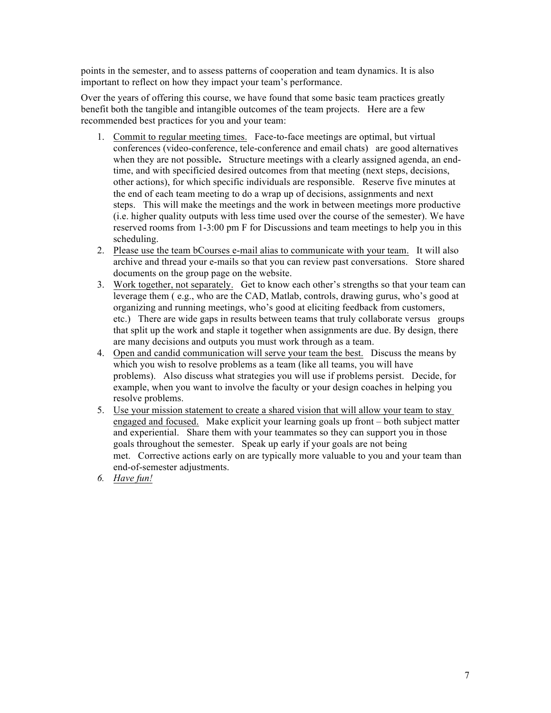points in the semester, and to assess patterns of cooperation and team dynamics. It is also important to reflect on how they impact your team's performance.

Over the years of offering this course, we have found that some basic team practices greatly benefit both the tangible and intangible outcomes of the team projects. Here are a few recommended best practices for you and your team:

- 1. Commit to regular meeting times. Face-to-face meetings are optimal, but virtual conferences (video-conference, tele-conference and email chats) are good alternatives when they are not possible**.** Structure meetings with a clearly assigned agenda, an endtime, and with specificied desired outcomes from that meeting (next steps, decisions, other actions), for which specific individuals are responsible. Reserve five minutes at the end of each team meeting to do a wrap up of decisions, assignments and next steps. This will make the meetings and the work in between meetings more productive (i.e. higher quality outputs with less time used over the course of the semester). We have reserved rooms from 1-3:00 pm F for Discussions and team meetings to help you in this scheduling.
- 2. Please use the team bCourses e-mail alias to communicate with your team. It will also archive and thread your e-mails so that you can review past conversations. Store shared documents on the group page on the website.
- 3. Work together, not separately. Get to know each other's strengths so that your team can leverage them ( e.g., who are the CAD, Matlab, controls, drawing gurus, who's good at organizing and running meetings, who's good at eliciting feedback from customers, etc.) There are wide gaps in results between teams that truly collaborate versus groups that split up the work and staple it together when assignments are due. By design, there are many decisions and outputs you must work through as a team.
- 4. Open and candid communication will serve your team the best. Discuss the means by which you wish to resolve problems as a team (like all teams, you will have problems). Also discuss what strategies you will use if problems persist. Decide, for example, when you want to involve the faculty or your design coaches in helping you resolve problems.
- 5. Use your mission statement to create a shared vision that will allow your team to stay engaged and focused. Make explicit your learning goals up front – both subject matter and experiential. Share them with your teammates so they can support you in those goals throughout the semester. Speak up early if your goals are not being met. Corrective actions early on are typically more valuable to you and your team than end-of-semester adjustments.
- *6. Have fun!*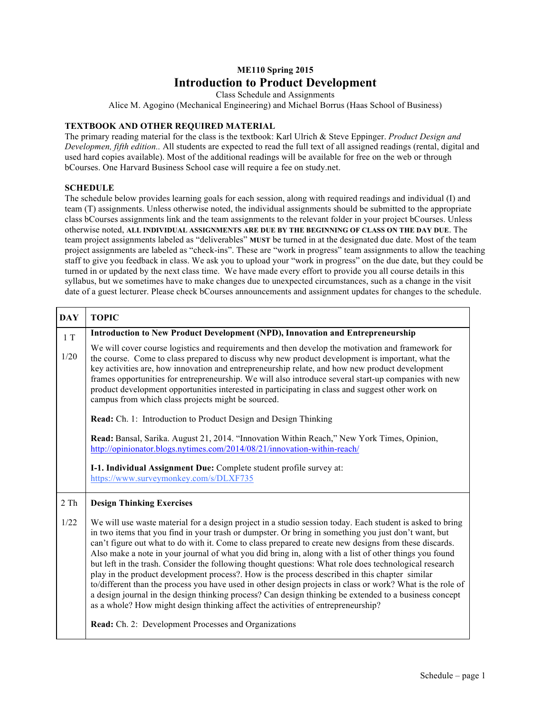# **ME110 Spring 2015 Introduction to Product Development**

Class Schedule and Assignments

Alice M. Agogino (Mechanical Engineering) and Michael Borrus (Haas School of Business)

#### **TEXTBOOK AND OTHER REQUIRED MATERIAL**

The primary reading material for the class is the textbook: Karl Ulrich & Steve Eppinger. *Product Design and Developmen, fifth edition..* All students are expected to read the full text of all assigned readings (rental, digital and used hard copies available). Most of the additional readings will be available for free on the web or through bCourses. One Harvard Business School case will require a fee on study.net.

#### **SCHEDULE**

The schedule below provides learning goals for each session, along with required readings and individual (I) and team (T) assignments. Unless otherwise noted, the individual assignments should be submitted to the appropriate class bCourses assignments link and the team assignments to the relevant folder in your project bCourses. Unless otherwise noted, **ALL INDIVIDUAL ASSIGNMENTS ARE DUE BY THE BEGINNING OF CLASS ON THE DAY DUE**. The team project assignments labeled as "deliverables" **MUST** be turned in at the designated due date. Most of the team project assignments are labeled as "check-ins". These are "work in progress" team assignments to allow the teaching staff to give you feedback in class. We ask you to upload your "work in progress" on the due date, but they could be turned in or updated by the next class time. We have made every effort to provide you all course details in this syllabus, but we sometimes have to make changes due to unexpected circumstances, such as a change in the visit date of a guest lecturer. Please check bCourses announcements and assignment updates for changes to the schedule.

| <b>DAY</b> | <b>TOPIC</b>                                                                                                                                                                                                                                                                                                                                                                                                                                                                                                                                                                                                                                                                                                                                                                                                                                                                                                                                                  |
|------------|---------------------------------------------------------------------------------------------------------------------------------------------------------------------------------------------------------------------------------------------------------------------------------------------------------------------------------------------------------------------------------------------------------------------------------------------------------------------------------------------------------------------------------------------------------------------------------------------------------------------------------------------------------------------------------------------------------------------------------------------------------------------------------------------------------------------------------------------------------------------------------------------------------------------------------------------------------------|
| 1T         | Introduction to New Product Development (NPD), Innovation and Entrepreneurship                                                                                                                                                                                                                                                                                                                                                                                                                                                                                                                                                                                                                                                                                                                                                                                                                                                                                |
| 1/20       | We will cover course logistics and requirements and then develop the motivation and framework for<br>the course. Come to class prepared to discuss why new product development is important, what the<br>key activities are, how innovation and entrepreneurship relate, and how new product development<br>frames opportunities for entrepreneurship. We will also introduce several start-up companies with new<br>product development opportunities interested in participating in class and suggest other work on<br>campus from which class projects might be sourced.                                                                                                                                                                                                                                                                                                                                                                                   |
|            | <b>Read:</b> Ch. 1: Introduction to Product Design and Design Thinking                                                                                                                                                                                                                                                                                                                                                                                                                                                                                                                                                                                                                                                                                                                                                                                                                                                                                        |
|            | Read: Bansal, Sarika. August 21, 2014. "Innovation Within Reach," New York Times, Opinion,<br>http://opinionator.blogs.nytimes.com/2014/08/21/innovation-within-reach/                                                                                                                                                                                                                                                                                                                                                                                                                                                                                                                                                                                                                                                                                                                                                                                        |
|            | I-1. Individual Assignment Due: Complete student profile survey at:<br>https://www.surveymonkey.com/s/DLXF735                                                                                                                                                                                                                                                                                                                                                                                                                                                                                                                                                                                                                                                                                                                                                                                                                                                 |
| 2 Th       | <b>Design Thinking Exercises</b>                                                                                                                                                                                                                                                                                                                                                                                                                                                                                                                                                                                                                                                                                                                                                                                                                                                                                                                              |
| 1/22       | We will use waste material for a design project in a studio session today. Each student is asked to bring<br>in two items that you find in your trash or dumpster. Or bring in something you just don't want, but<br>can't figure out what to do with it. Come to class prepared to create new designs from these discards.<br>Also make a note in your journal of what you did bring in, along with a list of other things you found<br>but left in the trash. Consider the following thought questions: What role does technological research<br>play in the product development process?. How is the process described in this chapter similar<br>to/different than the process you have used in other design projects in class or work? What is the role of<br>a design journal in the design thinking process? Can design thinking be extended to a business concept<br>as a whole? How might design thinking affect the activities of entrepreneurship? |
|            | Read: Ch. 2: Development Processes and Organizations                                                                                                                                                                                                                                                                                                                                                                                                                                                                                                                                                                                                                                                                                                                                                                                                                                                                                                          |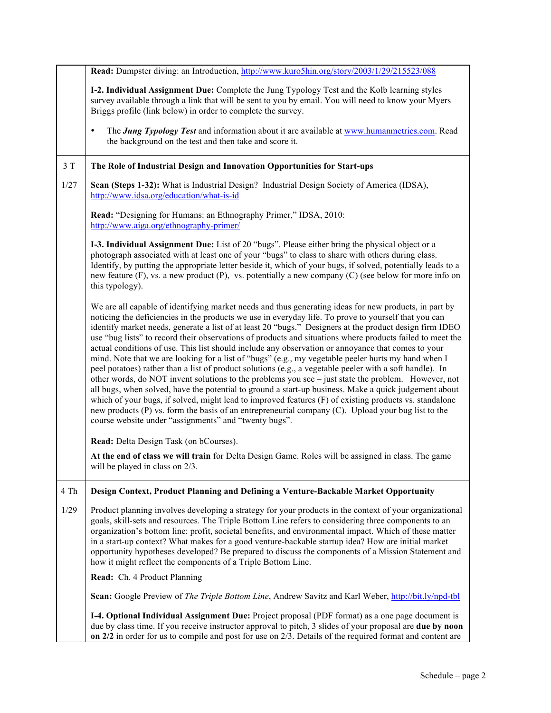|      | Read: Dumpster diving: an Introduction, http://www.kuro5hin.org/story/2003/1/29/215523/088                                                                                                                                                                                                                                                                                                                                                                                                                                                                                                                                                                                                                                                                                                                                                                                                                                                                                                                                                                                                                                                                                                                                                              |
|------|---------------------------------------------------------------------------------------------------------------------------------------------------------------------------------------------------------------------------------------------------------------------------------------------------------------------------------------------------------------------------------------------------------------------------------------------------------------------------------------------------------------------------------------------------------------------------------------------------------------------------------------------------------------------------------------------------------------------------------------------------------------------------------------------------------------------------------------------------------------------------------------------------------------------------------------------------------------------------------------------------------------------------------------------------------------------------------------------------------------------------------------------------------------------------------------------------------------------------------------------------------|
|      | I-2. Individual Assignment Due: Complete the Jung Typology Test and the Kolb learning styles<br>survey available through a link that will be sent to you by email. You will need to know your Myers<br>Briggs profile (link below) in order to complete the survey.                                                                                                                                                                                                                                                                                                                                                                                                                                                                                                                                                                                                                                                                                                                                                                                                                                                                                                                                                                                     |
|      | The <b>Jung Typology Test</b> and information about it are available at www.humanmetrics.com. Read<br>$\bullet$<br>the background on the test and then take and score it.                                                                                                                                                                                                                                                                                                                                                                                                                                                                                                                                                                                                                                                                                                                                                                                                                                                                                                                                                                                                                                                                               |
| 3T   | The Role of Industrial Design and Innovation Opportunities for Start-ups                                                                                                                                                                                                                                                                                                                                                                                                                                                                                                                                                                                                                                                                                                                                                                                                                                                                                                                                                                                                                                                                                                                                                                                |
| 1/27 | Scan (Steps 1-32): What is Industrial Design? Industrial Design Society of America (IDSA),<br>http://www.idsa.org/education/what-is-id                                                                                                                                                                                                                                                                                                                                                                                                                                                                                                                                                                                                                                                                                                                                                                                                                                                                                                                                                                                                                                                                                                                  |
|      | Read: "Designing for Humans: an Ethnography Primer," IDSA, 2010:<br>http://www.aiga.org/ethnography-primer/                                                                                                                                                                                                                                                                                                                                                                                                                                                                                                                                                                                                                                                                                                                                                                                                                                                                                                                                                                                                                                                                                                                                             |
|      | I-3. Individual Assignment Due: List of 20 "bugs". Please either bring the physical object or a<br>photograph associated with at least one of your "bugs" to class to share with others during class.<br>Identify, by putting the appropriate letter beside it, which of your bugs, if solved, potentially leads to a<br>new feature $(F)$ , vs. a new product $(P)$ , vs. potentially a new company $(C)$ (see below for more info on<br>this typology).                                                                                                                                                                                                                                                                                                                                                                                                                                                                                                                                                                                                                                                                                                                                                                                               |
|      | We are all capable of identifying market needs and thus generating ideas for new products, in part by<br>noticing the deficiencies in the products we use in everyday life. To prove to yourself that you can<br>identify market needs, generate a list of at least 20 "bugs." Designers at the product design firm IDEO<br>use "bug lists" to record their observations of products and situations where products failed to meet the<br>actual conditions of use. This list should include any observation or annoyance that comes to your<br>mind. Note that we are looking for a list of "bugs" (e.g., my vegetable peeler hurts my hand when I<br>peel potatoes) rather than a list of product solutions (e.g., a vegetable peeler with a soft handle). In<br>other words, do NOT invent solutions to the problems you see – just state the problem. However, not<br>all bugs, when solved, have the potential to ground a start-up business. Make a quick judgement about<br>which of your bugs, if solved, might lead to improved features (F) of existing products vs. standalone<br>new products (P) vs. form the basis of an entrepreneurial company (C). Upload your bug list to the<br>course website under "assignments" and "twenty bugs". |
|      | Read: Delta Design Task (on bCourses).                                                                                                                                                                                                                                                                                                                                                                                                                                                                                                                                                                                                                                                                                                                                                                                                                                                                                                                                                                                                                                                                                                                                                                                                                  |
|      | At the end of class we will train for Delta Design Game. Roles will be assigned in class. The game<br>will be played in class on $2/3$ .                                                                                                                                                                                                                                                                                                                                                                                                                                                                                                                                                                                                                                                                                                                                                                                                                                                                                                                                                                                                                                                                                                                |
| 4 Th | Design Context, Product Planning and Defining a Venture-Backable Market Opportunity                                                                                                                                                                                                                                                                                                                                                                                                                                                                                                                                                                                                                                                                                                                                                                                                                                                                                                                                                                                                                                                                                                                                                                     |
| 1/29 | Product planning involves developing a strategy for your products in the context of your organizational<br>goals, skill-sets and resources. The Triple Bottom Line refers to considering three components to an<br>organization's bottom line: profit, societal benefits, and environmental impact. Which of these matter<br>in a start-up context? What makes for a good venture-backable startup idea? How are initial market<br>opportunity hypotheses developed? Be prepared to discuss the components of a Mission Statement and<br>how it might reflect the components of a Triple Bottom Line.                                                                                                                                                                                                                                                                                                                                                                                                                                                                                                                                                                                                                                                   |
|      | Read: Ch. 4 Product Planning                                                                                                                                                                                                                                                                                                                                                                                                                                                                                                                                                                                                                                                                                                                                                                                                                                                                                                                                                                                                                                                                                                                                                                                                                            |
|      | Scan: Google Preview of The Triple Bottom Line, Andrew Savitz and Karl Weber, http://bit.ly/npd-tbl                                                                                                                                                                                                                                                                                                                                                                                                                                                                                                                                                                                                                                                                                                                                                                                                                                                                                                                                                                                                                                                                                                                                                     |
|      | I-4. Optional Individual Assignment Due: Project proposal (PDF format) as a one page document is<br>due by class time. If you receive instructor approval to pitch, 3 slides of your proposal are due by noon<br>on $2/2$ in order for us to compile and post for use on $2/3$ . Details of the required format and content are                                                                                                                                                                                                                                                                                                                                                                                                                                                                                                                                                                                                                                                                                                                                                                                                                                                                                                                         |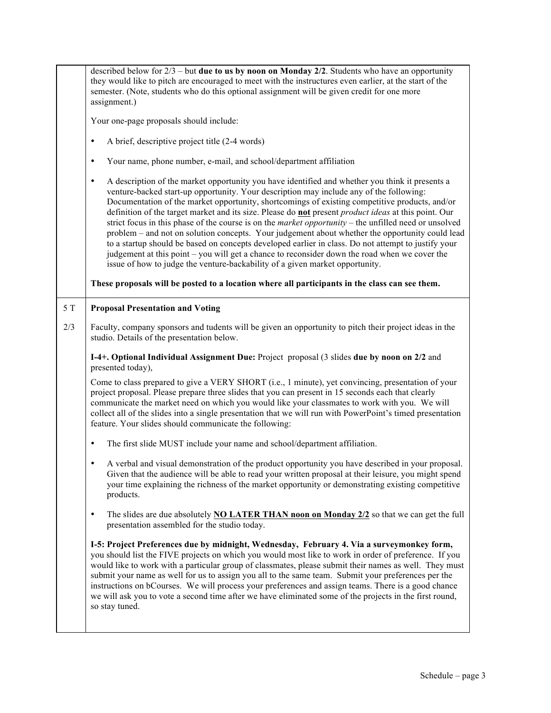|      | described below for $2/3$ – but <b>due to us by noon on Monday 2/2</b> . Students who have an opportunity<br>they would like to pitch are encouraged to meet with the instructures even earlier, at the start of the<br>semester. (Note, students who do this optional assignment will be given credit for one more<br>assignment.)                                                                                                                                                                                                                                                                                                                                                                                                                                                                                                                                                                                                 |
|------|-------------------------------------------------------------------------------------------------------------------------------------------------------------------------------------------------------------------------------------------------------------------------------------------------------------------------------------------------------------------------------------------------------------------------------------------------------------------------------------------------------------------------------------------------------------------------------------------------------------------------------------------------------------------------------------------------------------------------------------------------------------------------------------------------------------------------------------------------------------------------------------------------------------------------------------|
|      | Your one-page proposals should include:                                                                                                                                                                                                                                                                                                                                                                                                                                                                                                                                                                                                                                                                                                                                                                                                                                                                                             |
|      | A brief, descriptive project title (2-4 words)<br>٠                                                                                                                                                                                                                                                                                                                                                                                                                                                                                                                                                                                                                                                                                                                                                                                                                                                                                 |
|      | Your name, phone number, e-mail, and school/department affiliation<br>$\bullet$                                                                                                                                                                                                                                                                                                                                                                                                                                                                                                                                                                                                                                                                                                                                                                                                                                                     |
|      | A description of the market opportunity you have identified and whether you think it presents a<br>$\bullet$<br>venture-backed start-up opportunity. Your description may include any of the following:<br>Documentation of the market opportunity, shortcomings of existing competitive products, and/or<br>definition of the target market and its size. Please do not present <i>product ideas</i> at this point. Our<br>strict focus in this phase of the course is on the <i>market opportunity</i> – the unfilled need or unsolved<br>problem – and not on solution concepts. Your judgement about whether the opportunity could lead<br>to a startup should be based on concepts developed earlier in class. Do not attempt to justify your<br>judgement at this point – you will get a chance to reconsider down the road when we cover the<br>issue of how to judge the venture-backability of a given market opportunity. |
|      | These proposals will be posted to a location where all participants in the class can see them.                                                                                                                                                                                                                                                                                                                                                                                                                                                                                                                                                                                                                                                                                                                                                                                                                                      |
| $5T$ | <b>Proposal Presentation and Voting</b>                                                                                                                                                                                                                                                                                                                                                                                                                                                                                                                                                                                                                                                                                                                                                                                                                                                                                             |
| 2/3  | Faculty, company sponsors and tudents will be given an opportunity to pitch their project ideas in the<br>studio. Details of the presentation below.                                                                                                                                                                                                                                                                                                                                                                                                                                                                                                                                                                                                                                                                                                                                                                                |
|      | I-4+. Optional Individual Assignment Due: Project proposal (3 slides due by noon on 2/2 and                                                                                                                                                                                                                                                                                                                                                                                                                                                                                                                                                                                                                                                                                                                                                                                                                                         |
|      | presented today),                                                                                                                                                                                                                                                                                                                                                                                                                                                                                                                                                                                                                                                                                                                                                                                                                                                                                                                   |
|      | Come to class prepared to give a VERY SHORT (i.e., 1 minute), yet convincing, presentation of your<br>project proposal. Please prepare three slides that you can present in 15 seconds each that clearly<br>communicate the market need on which you would like your classmates to work with you. We will<br>collect all of the slides into a single presentation that we will run with PowerPoint's timed presentation<br>feature. Your slides should communicate the following:                                                                                                                                                                                                                                                                                                                                                                                                                                                   |
|      | The first slide MUST include your name and school/department affiliation.                                                                                                                                                                                                                                                                                                                                                                                                                                                                                                                                                                                                                                                                                                                                                                                                                                                           |
|      | A verbal and visual demonstration of the product opportunity you have described in your proposal.<br>Given that the audience will be able to read your written proposal at their leisure, you might spend<br>your time explaining the richness of the market opportunity or demonstrating existing competitive<br>products.                                                                                                                                                                                                                                                                                                                                                                                                                                                                                                                                                                                                         |
|      | The slides are due absolutely <b>NO LATER THAN noon on Monday <math>2/2</math></b> so that we can get the full<br>$\bullet$<br>presentation assembled for the studio today.                                                                                                                                                                                                                                                                                                                                                                                                                                                                                                                                                                                                                                                                                                                                                         |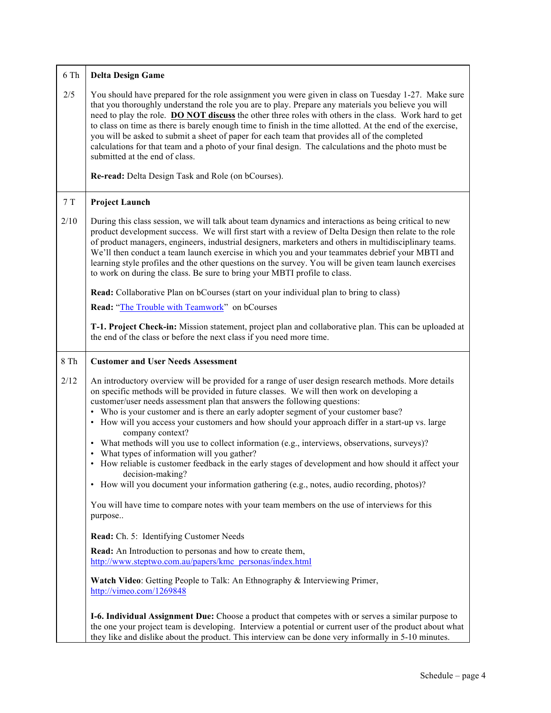| 6 Th         | <b>Delta Design Game</b>                                                                                                                                                                                                                                                                                                                                                                                                                                                                                                                                                                                                                                                                                                                                                                                                                                                                                                                                                                                                                                                                                                                                                                                                                                          |
|--------------|-------------------------------------------------------------------------------------------------------------------------------------------------------------------------------------------------------------------------------------------------------------------------------------------------------------------------------------------------------------------------------------------------------------------------------------------------------------------------------------------------------------------------------------------------------------------------------------------------------------------------------------------------------------------------------------------------------------------------------------------------------------------------------------------------------------------------------------------------------------------------------------------------------------------------------------------------------------------------------------------------------------------------------------------------------------------------------------------------------------------------------------------------------------------------------------------------------------------------------------------------------------------|
| 2/5          | You should have prepared for the role assignment you were given in class on Tuesday 1-27. Make sure<br>that you thoroughly understand the role you are to play. Prepare any materials you believe you will<br>need to play the role. DO NOT discuss the other three roles with others in the class. Work hard to get<br>to class on time as there is barely enough time to finish in the time allotted. At the end of the exercise,<br>you will be asked to submit a sheet of paper for each team that provides all of the completed<br>calculations for that team and a photo of your final design. The calculations and the photo must be<br>submitted at the end of class.                                                                                                                                                                                                                                                                                                                                                                                                                                                                                                                                                                                     |
|              | Re-read: Delta Design Task and Role (on bCourses).                                                                                                                                                                                                                                                                                                                                                                                                                                                                                                                                                                                                                                                                                                                                                                                                                                                                                                                                                                                                                                                                                                                                                                                                                |
| $7\ {\rm T}$ | <b>Project Launch</b>                                                                                                                                                                                                                                                                                                                                                                                                                                                                                                                                                                                                                                                                                                                                                                                                                                                                                                                                                                                                                                                                                                                                                                                                                                             |
| 2/10         | During this class session, we will talk about team dynamics and interactions as being critical to new<br>product development success. We will first start with a review of Delta Design then relate to the role<br>of product managers, engineers, industrial designers, marketers and others in multidisciplinary teams.<br>We'll then conduct a team launch exercise in which you and your teammates debrief your MBTI and<br>learning style profiles and the other questions on the survey. You will be given team launch exercises<br>to work on during the class. Be sure to bring your MBTI profile to class.                                                                                                                                                                                                                                                                                                                                                                                                                                                                                                                                                                                                                                               |
|              | Read: Collaborative Plan on bCourses (start on your individual plan to bring to class)                                                                                                                                                                                                                                                                                                                                                                                                                                                                                                                                                                                                                                                                                                                                                                                                                                                                                                                                                                                                                                                                                                                                                                            |
|              | Read: "The Trouble with Teamwork" on bCourses                                                                                                                                                                                                                                                                                                                                                                                                                                                                                                                                                                                                                                                                                                                                                                                                                                                                                                                                                                                                                                                                                                                                                                                                                     |
|              | T-1. Project Check-in: Mission statement, project plan and collaborative plan. This can be uploaded at<br>the end of the class or before the next class if you need more time.                                                                                                                                                                                                                                                                                                                                                                                                                                                                                                                                                                                                                                                                                                                                                                                                                                                                                                                                                                                                                                                                                    |
| 8 Th         | <b>Customer and User Needs Assessment</b>                                                                                                                                                                                                                                                                                                                                                                                                                                                                                                                                                                                                                                                                                                                                                                                                                                                                                                                                                                                                                                                                                                                                                                                                                         |
| 2/12         | An introductory overview will be provided for a range of user design research methods. More details<br>on specific methods will be provided in future classes. We will then work on developing a<br>customer/user needs assessment plan that answers the following questions:<br>• Who is your customer and is there an early adopter segment of your customer base?<br>• How will you access your customers and how should your approach differ in a start-up vs. large<br>company context?<br>What methods will you use to collect information (e.g., interviews, observations, surveys)?<br>What types of information will you gather?<br>How reliable is customer feedback in the early stages of development and how should it affect your<br>decision-making?<br>• How will you document your information gathering (e.g., notes, audio recording, photos)?<br>You will have time to compare notes with your team members on the use of interviews for this<br>purpose<br>Read: Ch. 5: Identifying Customer Needs<br><b>Read:</b> An Introduction to personas and how to create them,<br>http://www.steptwo.com.au/papers/kmc_personas/index.html<br>Watch Video: Getting People to Talk: An Ethnography & Interviewing Primer,<br>http://vimeo.com/1269848 |
|              |                                                                                                                                                                                                                                                                                                                                                                                                                                                                                                                                                                                                                                                                                                                                                                                                                                                                                                                                                                                                                                                                                                                                                                                                                                                                   |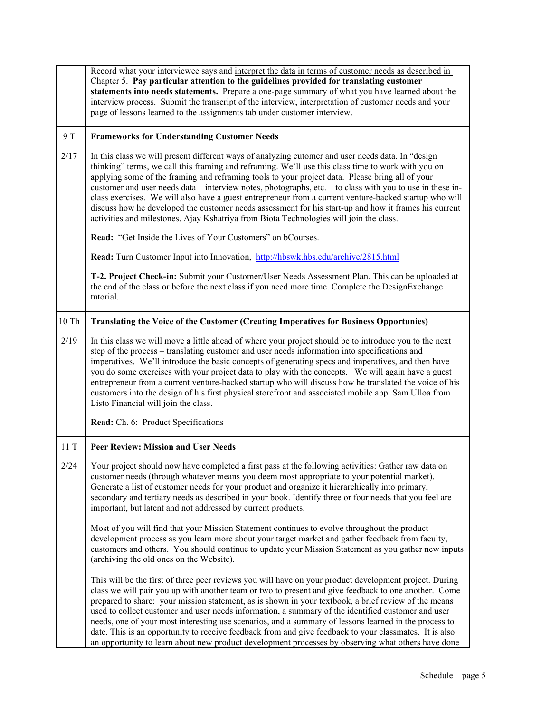|                  | Record what your interviewee says and interpret the data in terms of customer needs as described in<br>Chapter 5. Pay particular attention to the guidelines provided for translating customer<br>statements into needs statements. Prepare a one-page summary of what you have learned about the<br>interview process. Submit the transcript of the interview, interpretation of customer needs and your<br>page of lessons learned to the assignments tab under customer interview.                                                                                                                                                                                                                                                                 |
|------------------|-------------------------------------------------------------------------------------------------------------------------------------------------------------------------------------------------------------------------------------------------------------------------------------------------------------------------------------------------------------------------------------------------------------------------------------------------------------------------------------------------------------------------------------------------------------------------------------------------------------------------------------------------------------------------------------------------------------------------------------------------------|
| 9 T              | <b>Frameworks for Understanding Customer Needs</b>                                                                                                                                                                                                                                                                                                                                                                                                                                                                                                                                                                                                                                                                                                    |
| 2/17             | In this class we will present different ways of analyzing cutomer and user needs data. In "design<br>thinking" terms, we call this framing and reframing. We'll use this class time to work with you on<br>applying some of the framing and reframing tools to your project data. Please bring all of your<br>customer and user needs data – interview notes, photographs, etc. – to class with you to use in these in-<br>class exercises. We will also have a guest entrepreneur from a current venture-backed startup who will<br>discuss how he developed the customer needs assessment for his start-up and how it frames his current<br>activities and milestones. Ajay Kshatriya from Biota Technologies will join the class.                  |
|                  | Read: "Get Inside the Lives of Your Customers" on bCourses.                                                                                                                                                                                                                                                                                                                                                                                                                                                                                                                                                                                                                                                                                           |
|                  | Read: Turn Customer Input into Innovation, http://hbswk.hbs.edu/archive/2815.html                                                                                                                                                                                                                                                                                                                                                                                                                                                                                                                                                                                                                                                                     |
|                  | T-2. Project Check-in: Submit your Customer/User Needs Assessment Plan. This can be uploaded at<br>the end of the class or before the next class if you need more time. Complete the DesignExchange<br>tutorial.                                                                                                                                                                                                                                                                                                                                                                                                                                                                                                                                      |
| $10$ $\mbox{Th}$ | <b>Translating the Voice of the Customer (Creating Imperatives for Business Opportunies)</b>                                                                                                                                                                                                                                                                                                                                                                                                                                                                                                                                                                                                                                                          |
| 2/19             | In this class we will move a little ahead of where your project should be to introduce you to the next<br>step of the process – translating customer and user needs information into specifications and<br>imperatives. We'll introduce the basic concepts of generating specs and imperatives, and then have<br>you do some exercises with your project data to play with the concepts. We will again have a guest<br>entrepreneur from a current venture-backed startup who will discuss how he translated the voice of his<br>customers into the design of his first physical storefront and associated mobile app. Sam Ulloa from<br>Listo Financial will join the class.                                                                         |
|                  | Read: Ch. 6: Product Specifications                                                                                                                                                                                                                                                                                                                                                                                                                                                                                                                                                                                                                                                                                                                   |
| 11T              | <b>Peer Review: Mission and User Needs</b>                                                                                                                                                                                                                                                                                                                                                                                                                                                                                                                                                                                                                                                                                                            |
| 2/24             | Your project should now have completed a first pass at the following activities: Gather raw data on<br>customer needs (through whatever means you deem most appropriate to your potential market).<br>Generate a list of customer needs for your product and organize it hierarchically into primary,<br>secondary and tertiary needs as described in your book. Identify three or four needs that you feel are<br>important, but latent and not addressed by current products.                                                                                                                                                                                                                                                                       |
|                  | Most of you will find that your Mission Statement continues to evolve throughout the product<br>development process as you learn more about your target market and gather feedback from faculty,<br>customers and others. You should continue to update your Mission Statement as you gather new inputs<br>(archiving the old ones on the Website).                                                                                                                                                                                                                                                                                                                                                                                                   |
|                  | This will be the first of three peer reviews you will have on your product development project. During<br>class we will pair you up with another team or two to present and give feedback to one another. Come<br>prepared to share: your mission statement, as is shown in your textbook, a brief review of the means<br>used to collect customer and user needs information, a summary of the identified customer and user<br>needs, one of your most interesting use scenarios, and a summary of lessons learned in the process to<br>date. This is an opportunity to receive feedback from and give feedback to your classmates. It is also<br>an opportunity to learn about new product development processes by observing what others have done |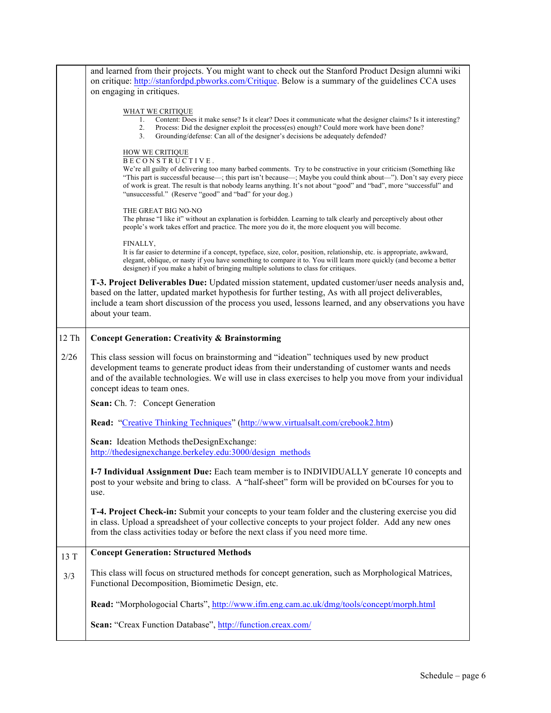|       | and learned from their projects. You might want to check out the Stanford Product Design alumni wiki                                 |
|-------|--------------------------------------------------------------------------------------------------------------------------------------|
|       | on critique: http://stanfordpd.pbworks.com/Critique. Below is a summary of the guidelines CCA uses                                   |
|       | on engaging in critiques.                                                                                                            |
|       |                                                                                                                                      |
|       | WHAT WE CRITIQUE<br>Content: Does it make sense? Is it clear? Does it communicate what the designer claims? Is it interesting?<br>1. |
|       | 2.<br>Process: Did the designer exploit the process(es) enough? Could more work have been done?                                      |
|       | Grounding/defense: Can all of the designer's decisions be adequately defended?<br>3.                                                 |
|       |                                                                                                                                      |
|       | HOW WE CRITIQUE<br>BECONSTRUCTIVE.                                                                                                   |
|       | We're all guilty of delivering too many barbed comments. Try to be constructive in your criticism (Something like                    |
|       | "This part is successful because—; this part isn't because—; Maybe you could think about—"). Don't say every piece                   |
|       | of work is great. The result is that nobody learns anything. It's not about "good" and "bad", more "successful" and                  |
|       | "unsuccessful." (Reserve "good" and "bad" for your dog.)                                                                             |
|       | THE GREAT BIG NO-NO                                                                                                                  |
|       | The phrase "I like it" without an explanation is forbidden. Learning to talk clearly and perceptively about other                    |
|       | people's work takes effort and practice. The more you do it, the more eloquent you will become.                                      |
|       | FINALLY,                                                                                                                             |
|       | It is far easier to determine if a concept, typeface, size, color, position, relationship, etc. is appropriate, awkward,             |
|       | elegant, oblique, or nasty if you have something to compare it to. You will learn more quickly (and become a better                  |
|       | designer) if you make a habit of bringing multiple solutions to class for critiques.                                                 |
|       | T-3. Project Deliverables Due: Updated mission statement, updated customer/user needs analysis and,                                  |
|       | based on the latter, updated market hypothesis for further testing, As with all project deliverables,                                |
|       | include a team short discussion of the process you used, lessons learned, and any observations you have                              |
|       | about your team.                                                                                                                     |
|       |                                                                                                                                      |
| 12 Th | <b>Concept Generation: Creativity &amp; Brainstorming</b>                                                                            |
|       |                                                                                                                                      |
|       |                                                                                                                                      |
| 2/26  | This class session will focus on brainstorming and "ideation" techniques used by new product                                         |
|       | development teams to generate product ideas from their understanding of customer wants and needs                                     |
|       | and of the available technologies. We will use in class exercises to help you move from your individual                              |
|       | concept ideas to team ones.                                                                                                          |
|       | Scan: Ch. 7: Concept Generation                                                                                                      |
|       |                                                                                                                                      |
|       | <b>Read:</b> "Creative Thinking Techniques" (http://www.virtualsalt.com/crebook2.htm)                                                |
|       |                                                                                                                                      |
|       | Scan: Ideation Methods the Design Exchange:                                                                                          |
|       | http://thedesignexchange.berkeley.edu:3000/design_methods                                                                            |
|       | I-7 Individual Assignment Due: Each team member is to INDIVIDUALLY generate 10 concepts and                                          |
|       | post to your website and bring to class. A "half-sheet" form will be provided on bCourses for you to                                 |
|       | use.                                                                                                                                 |
|       |                                                                                                                                      |
|       | T-4. Project Check-in: Submit your concepts to your team folder and the clustering exercise you did                                  |
|       | in class. Upload a spreadsheet of your collective concepts to your project folder. Add any new ones                                  |
|       | from the class activities today or before the next class if you need more time.                                                      |
|       |                                                                                                                                      |
| 13 T  | <b>Concept Generation: Structured Methods</b>                                                                                        |
|       |                                                                                                                                      |
| 3/3   | This class will focus on structured methods for concept generation, such as Morphological Matrices,                                  |
|       | Functional Decomposition, Biomimetic Design, etc.                                                                                    |
|       | Read: "Morphologocial Charts", http://www.ifm.eng.cam.ac.uk/dmg/tools/concept/morph.html                                             |
|       |                                                                                                                                      |
|       | Scan: "Creax Function Database", http://function.creax.com/                                                                          |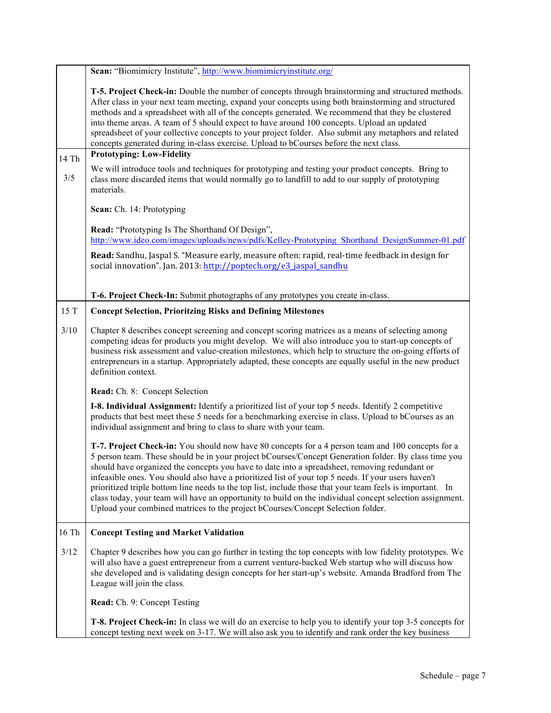|       | Scan: "Biomimicry Institute", http://www.biomimicryinstitute.org/                                                                                                                                                                                                                                                                                                                                                                                                                                                                                                                                                                                                                                                             |
|-------|-------------------------------------------------------------------------------------------------------------------------------------------------------------------------------------------------------------------------------------------------------------------------------------------------------------------------------------------------------------------------------------------------------------------------------------------------------------------------------------------------------------------------------------------------------------------------------------------------------------------------------------------------------------------------------------------------------------------------------|
|       | T-5. Project Check-in: Double the number of concepts through brainstorming and structured methods.<br>After class in your next team meeting, expand your concepts using both brainstorming and structured<br>methods and a spreadsheet with all of the concepts generated. We recommend that they be clustered<br>into theme areas. A team of 5 should expect to have around 100 concepts. Upload an updated<br>spreadsheet of your collective concepts to your project folder. Also submit any metaphors and related<br>concepts generated during in-class exercise. Upload to bCourses before the next class.                                                                                                               |
| 14 Th | <b>Prototyping: Low-Fidelity</b>                                                                                                                                                                                                                                                                                                                                                                                                                                                                                                                                                                                                                                                                                              |
| 3/5   | We will introduce tools and techniques for prototyping and testing your product concepts. Bring to<br>class more discarded items that would normally go to landfill to add to our supply of prototyping<br>materials.                                                                                                                                                                                                                                                                                                                                                                                                                                                                                                         |
|       | Scan: Ch. 14: Prototyping                                                                                                                                                                                                                                                                                                                                                                                                                                                                                                                                                                                                                                                                                                     |
|       | Read: "Prototyping Is The Shorthand Of Design",<br>http://www.ideo.com/images/uploads/news/pdfs/Kelley-Prototyping Shorthand DesignSummer-01.pdf                                                                                                                                                                                                                                                                                                                                                                                                                                                                                                                                                                              |
|       | Read: Sandhu, Jaspal S. "Measure early, measure often: rapid, real-time feedback in design for<br>social innovation". Jan. 2013: http://poptech.org/e3_jaspal_sandhu                                                                                                                                                                                                                                                                                                                                                                                                                                                                                                                                                          |
|       | T-6. Project Check-In: Submit photographs of any prototypes you create in-class.                                                                                                                                                                                                                                                                                                                                                                                                                                                                                                                                                                                                                                              |
| 15 T  | <b>Concept Selection, Prioritzing Risks and Defining Milestones</b>                                                                                                                                                                                                                                                                                                                                                                                                                                                                                                                                                                                                                                                           |
|       |                                                                                                                                                                                                                                                                                                                                                                                                                                                                                                                                                                                                                                                                                                                               |
| 3/10  | Chapter 8 describes concept screening and concept scoring matrices as a means of selecting among<br>competing ideas for products you might develop. We will also introduce you to start-up concepts of<br>business risk assessment and value-creation milestones, which help to structure the on-going efforts of<br>entrepreneurs in a startup. Appropriately adapted, these concepts are equally useful in the new product<br>definition context.                                                                                                                                                                                                                                                                           |
|       | <b>Read:</b> Ch. 8: Concept Selection                                                                                                                                                                                                                                                                                                                                                                                                                                                                                                                                                                                                                                                                                         |
|       | I-8. Individual Assignment: Identify a prioritized list of your top 5 needs. Identify 2 competitive<br>products that best meet these 5 needs for a benchmarking exercise in class. Upload to bCourses as an<br>individual assignment and bring to class to share with your team.                                                                                                                                                                                                                                                                                                                                                                                                                                              |
|       | T-7. Project Check-in: You should now have 80 concepts for a 4 person team and 100 concepts for a<br>5 person team. These should be in your project bCourses/Concept Generation folder. By class time you<br>should have organized the concepts you have to date into a spreadsheet, removing redundant or<br>infeasible ones. You should also have a prioritized list of your top 5 needs. If your users haven't<br>prioritized triple bottom line needs to the top list, include those that your team feels is important. In<br>class today, your team will have an opportunity to build on the individual concept selection assignment.<br>Upload your combined matrices to the project bCourses/Concept Selection folder. |
| 16 Th | <b>Concept Testing and Market Validation</b>                                                                                                                                                                                                                                                                                                                                                                                                                                                                                                                                                                                                                                                                                  |
| 3/12  | Chapter 9 describes how you can go further in testing the top concepts with low fidelity prototypes. We<br>will also have a guest entrepreneur from a current venture-backed Web startup who will discuss how<br>she developed and is validating design concepts for her start-up's website. Amanda Bradford from The<br>League will join the class.                                                                                                                                                                                                                                                                                                                                                                          |
|       | Read: Ch. 9: Concept Testing                                                                                                                                                                                                                                                                                                                                                                                                                                                                                                                                                                                                                                                                                                  |
|       | <b>T-8. Project Check-in:</b> In class we will do an exercise to help you to identify your top 3-5 concepts for<br>concept testing next week on 3-17. We will also ask you to identify and rank order the key business                                                                                                                                                                                                                                                                                                                                                                                                                                                                                                        |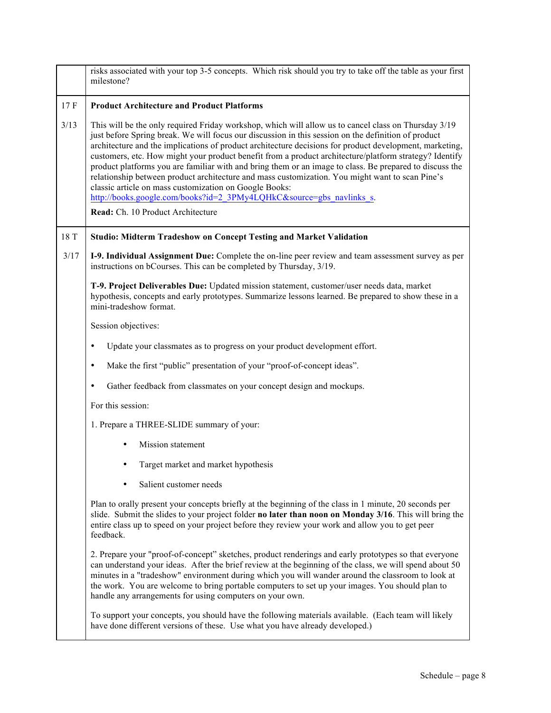|      | risks associated with your top 3-5 concepts. Which risk should you try to take off the table as your first<br>milestone?                                                                                                                                                                                                                                                                                                                                                                                                                                                                                                                                                                                                                                                                                              |
|------|-----------------------------------------------------------------------------------------------------------------------------------------------------------------------------------------------------------------------------------------------------------------------------------------------------------------------------------------------------------------------------------------------------------------------------------------------------------------------------------------------------------------------------------------------------------------------------------------------------------------------------------------------------------------------------------------------------------------------------------------------------------------------------------------------------------------------|
| 17F  | <b>Product Architecture and Product Platforms</b>                                                                                                                                                                                                                                                                                                                                                                                                                                                                                                                                                                                                                                                                                                                                                                     |
| 3/13 | This will be the only required Friday workshop, which will allow us to cancel class on Thursday 3/19<br>just before Spring break. We will focus our discussion in this session on the definition of product<br>architecture and the implications of product architecture decisions for product development, marketing,<br>customers, etc. How might your product benefit from a product architecture/platform strategy? Identify<br>product platforms you are familiar with and bring them or an image to class. Be prepared to discuss the<br>relationship between product architecture and mass customization. You might want to scan Pine's<br>classic article on mass customization on Google Books:<br>http://books.google.com/books?id=2 3PMy4LQHkC&source=gbs navlinks s.<br>Read: Ch. 10 Product Architecture |
| 18 T | <b>Studio: Midterm Tradeshow on Concept Testing and Market Validation</b>                                                                                                                                                                                                                                                                                                                                                                                                                                                                                                                                                                                                                                                                                                                                             |
| 3/17 | I-9. Individual Assignment Due: Complete the on-line peer review and team assessment survey as per<br>instructions on bCourses. This can be completed by Thursday, 3/19.                                                                                                                                                                                                                                                                                                                                                                                                                                                                                                                                                                                                                                              |
|      | T-9. Project Deliverables Due: Updated mission statement, customer/user needs data, market<br>hypothesis, concepts and early prototypes. Summarize lessons learned. Be prepared to show these in a<br>mini-tradeshow format.                                                                                                                                                                                                                                                                                                                                                                                                                                                                                                                                                                                          |
|      | Session objectives:                                                                                                                                                                                                                                                                                                                                                                                                                                                                                                                                                                                                                                                                                                                                                                                                   |
|      | Update your classmates as to progress on your product development effort.<br>٠                                                                                                                                                                                                                                                                                                                                                                                                                                                                                                                                                                                                                                                                                                                                        |
|      | Make the first "public" presentation of your "proof-of-concept ideas".<br>٠                                                                                                                                                                                                                                                                                                                                                                                                                                                                                                                                                                                                                                                                                                                                           |
|      | Gather feedback from classmates on your concept design and mockups.<br>٠                                                                                                                                                                                                                                                                                                                                                                                                                                                                                                                                                                                                                                                                                                                                              |
|      | For this session:                                                                                                                                                                                                                                                                                                                                                                                                                                                                                                                                                                                                                                                                                                                                                                                                     |
|      | 1. Prepare a THREE-SLIDE summary of your:                                                                                                                                                                                                                                                                                                                                                                                                                                                                                                                                                                                                                                                                                                                                                                             |
|      | Mission statement                                                                                                                                                                                                                                                                                                                                                                                                                                                                                                                                                                                                                                                                                                                                                                                                     |
|      | Target market and market hypothesis                                                                                                                                                                                                                                                                                                                                                                                                                                                                                                                                                                                                                                                                                                                                                                                   |
|      | Salient customer needs                                                                                                                                                                                                                                                                                                                                                                                                                                                                                                                                                                                                                                                                                                                                                                                                |
|      | Plan to orally present your concepts briefly at the beginning of the class in 1 minute, 20 seconds per<br>slide. Submit the slides to your project folder no later than noon on Monday 3/16. This will bring the<br>entire class up to speed on your project before they review your work and allow you to get peer<br>feedback.                                                                                                                                                                                                                                                                                                                                                                                                                                                                                      |
|      | 2. Prepare your "proof-of-concept" sketches, product renderings and early prototypes so that everyone<br>can understand your ideas. After the brief review at the beginning of the class, we will spend about 50<br>minutes in a "tradeshow" environment during which you will wander around the classroom to look at<br>the work. You are welcome to bring portable computers to set up your images. You should plan to<br>handle any arrangements for using computers on your own.                                                                                                                                                                                                                                                                                                                                  |
|      | To support your concepts, you should have the following materials available. (Each team will likely<br>have done different versions of these. Use what you have already developed.)                                                                                                                                                                                                                                                                                                                                                                                                                                                                                                                                                                                                                                   |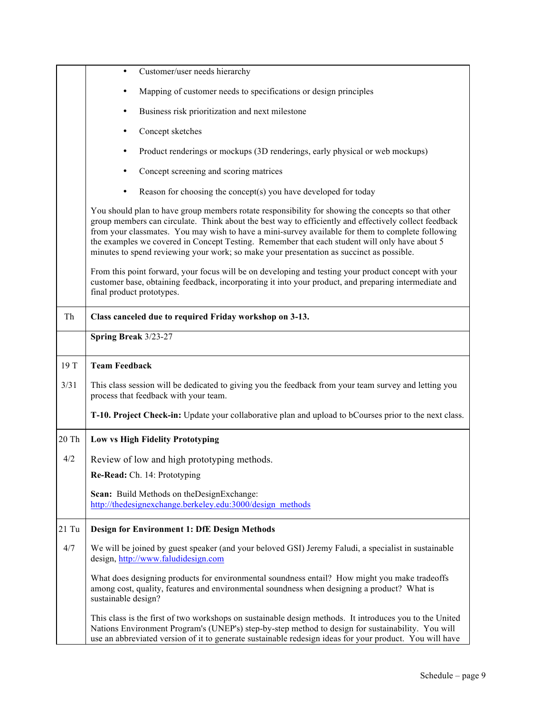|         | Customer/user needs hierarchy<br>$\bullet$                                                                                                                                                                                                                                                                                                                                                                                                                                                                    |
|---------|---------------------------------------------------------------------------------------------------------------------------------------------------------------------------------------------------------------------------------------------------------------------------------------------------------------------------------------------------------------------------------------------------------------------------------------------------------------------------------------------------------------|
|         | Mapping of customer needs to specifications or design principles<br>٠                                                                                                                                                                                                                                                                                                                                                                                                                                         |
|         | Business risk prioritization and next milestone<br>٠                                                                                                                                                                                                                                                                                                                                                                                                                                                          |
|         | Concept sketches                                                                                                                                                                                                                                                                                                                                                                                                                                                                                              |
|         | Product renderings or mockups (3D renderings, early physical or web mockups)                                                                                                                                                                                                                                                                                                                                                                                                                                  |
|         | Concept screening and scoring matrices                                                                                                                                                                                                                                                                                                                                                                                                                                                                        |
|         | Reason for choosing the concept(s) you have developed for today<br>٠                                                                                                                                                                                                                                                                                                                                                                                                                                          |
|         | You should plan to have group members rotate responsibility for showing the concepts so that other<br>group members can circulate. Think about the best way to efficiently and effectively collect feedback<br>from your classmates. You may wish to have a mini-survey available for them to complete following<br>the examples we covered in Concept Testing. Remember that each student will only have about 5<br>minutes to spend reviewing your work; so make your presentation as succinct as possible. |
|         | From this point forward, your focus will be on developing and testing your product concept with your<br>customer base, obtaining feedback, incorporating it into your product, and preparing intermediate and<br>final product prototypes.                                                                                                                                                                                                                                                                    |
| Th      | Class canceled due to required Friday workshop on 3-13.                                                                                                                                                                                                                                                                                                                                                                                                                                                       |
|         | Spring Break 3/23-27                                                                                                                                                                                                                                                                                                                                                                                                                                                                                          |
| 19 T    | <b>Team Feedback</b>                                                                                                                                                                                                                                                                                                                                                                                                                                                                                          |
| 3/31    | This class session will be dedicated to giving you the feedback from your team survey and letting you<br>process that feedback with your team.                                                                                                                                                                                                                                                                                                                                                                |
|         | T-10. Project Check-in: Update your collaborative plan and upload to bCourses prior to the next class.                                                                                                                                                                                                                                                                                                                                                                                                        |
| 20 Th   | <b>Low vs High Fidelity Prototyping</b>                                                                                                                                                                                                                                                                                                                                                                                                                                                                       |
| 4/2     | Review of low and high prototyping methods.                                                                                                                                                                                                                                                                                                                                                                                                                                                                   |
|         | Re-Read: Ch. 14: Prototyping                                                                                                                                                                                                                                                                                                                                                                                                                                                                                  |
|         | Scan: Build Methods on the Design Exchange:<br>http://thedesignexchange.berkeley.edu:3000/design_methods                                                                                                                                                                                                                                                                                                                                                                                                      |
| $21$ Tu | <b>Design for Environment 1: DfE Design Methods</b>                                                                                                                                                                                                                                                                                                                                                                                                                                                           |
| 4/7     | We will be joined by guest speaker (and your beloved GSI) Jeremy Faludi, a specialist in sustainable<br>design, http://www.faludidesign.com                                                                                                                                                                                                                                                                                                                                                                   |
|         | What does designing products for environmental soundness entail? How might you make tradeoffs<br>among cost, quality, features and environmental soundness when designing a product? What is<br>sustainable design?                                                                                                                                                                                                                                                                                           |
|         |                                                                                                                                                                                                                                                                                                                                                                                                                                                                                                               |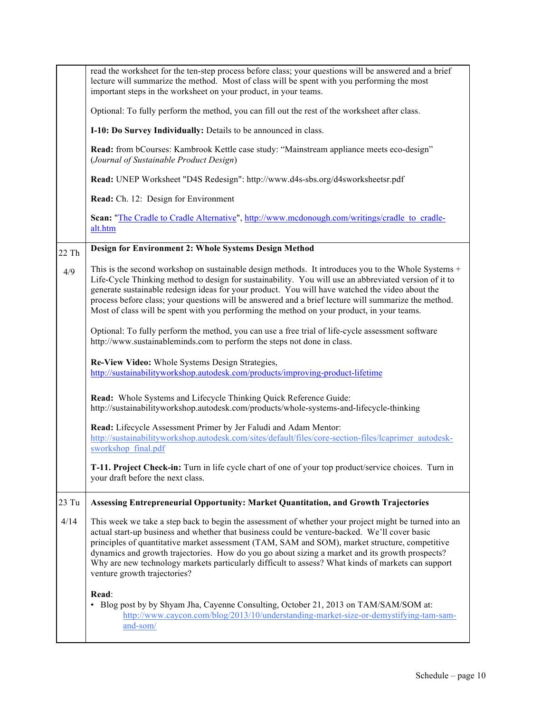|       | read the worksheet for the ten-step process before class; your questions will be answered and a brief<br>lecture will summarize the method. Most of class will be spent with you performing the most<br>important steps in the worksheet on your product, in your teams.                                                                                                                                                                                                                                                                          |
|-------|---------------------------------------------------------------------------------------------------------------------------------------------------------------------------------------------------------------------------------------------------------------------------------------------------------------------------------------------------------------------------------------------------------------------------------------------------------------------------------------------------------------------------------------------------|
|       | Optional: To fully perform the method, you can fill out the rest of the worksheet after class.                                                                                                                                                                                                                                                                                                                                                                                                                                                    |
|       | I-10: Do Survey Individually: Details to be announced in class.                                                                                                                                                                                                                                                                                                                                                                                                                                                                                   |
|       | Read: from bCourses: Kambrook Kettle case study: "Mainstream appliance meets eco-design"<br>(Journal of Sustainable Product Design)                                                                                                                                                                                                                                                                                                                                                                                                               |
|       | Read: UNEP Worksheet "D4S Redesign": http://www.d4s-sbs.org/d4sworksheetsr.pdf                                                                                                                                                                                                                                                                                                                                                                                                                                                                    |
|       | Read: Ch. 12: Design for Environment                                                                                                                                                                                                                                                                                                                                                                                                                                                                                                              |
|       | Scan: "The Cradle to Cradle Alternative", http://www.mcdonough.com/writings/cradle to cradle-<br>alt.htm                                                                                                                                                                                                                                                                                                                                                                                                                                          |
| 22 Th | Design for Environment 2: Whole Systems Design Method                                                                                                                                                                                                                                                                                                                                                                                                                                                                                             |
| 4/9   | This is the second workshop on sustainable design methods. It introduces you to the Whole Systems +<br>Life-Cycle Thinking method to design for sustainability. You will use an abbreviated version of it to<br>generate sustainable redesign ideas for your product. You will have watched the video about the<br>process before class; your questions will be answered and a brief lecture will summarize the method.<br>Most of class will be spent with you performing the method on your product, in your teams.                             |
|       | Optional: To fully perform the method, you can use a free trial of life-cycle assessment software<br>http://www.sustainableminds.com to perform the steps not done in class.                                                                                                                                                                                                                                                                                                                                                                      |
|       | Re-View Video: Whole Systems Design Strategies,<br>http://sustainabilityworkshop.autodesk.com/products/improving-product-lifetime                                                                                                                                                                                                                                                                                                                                                                                                                 |
|       | Read: Whole Systems and Lifecycle Thinking Quick Reference Guide:<br>http://sustainabilityworkshop.autodesk.com/products/whole-systems-and-lifecycle-thinking                                                                                                                                                                                                                                                                                                                                                                                     |
|       | Read: Lifecycle Assessment Primer by Jer Faludi and Adam Mentor:<br>http://sustainabilityworkshop.autodesk.com/sites/default/files/core-section-files/lcaprimer_autodesk-<br>sworkshop final.pdf                                                                                                                                                                                                                                                                                                                                                  |
|       | T-11. Project Check-in: Turn in life cycle chart of one of your top product/service choices. Turn in<br>your draft before the next class.                                                                                                                                                                                                                                                                                                                                                                                                         |
| 23 Tu | <b>Assessing Entrepreneurial Opportunity: Market Quantitation, and Growth Trajectories</b>                                                                                                                                                                                                                                                                                                                                                                                                                                                        |
| 4/14  | This week we take a step back to begin the assessment of whether your project might be turned into an<br>actual start-up business and whether that business could be venture-backed. We'll cover basic<br>principles of quantitative market assessment (TAM, SAM and SOM), market structure, competitive<br>dynamics and growth trajectories. How do you go about sizing a market and its growth prospects?<br>Why are new technology markets particularly difficult to assess? What kinds of markets can support<br>venture growth trajectories? |
|       | Read:<br>• Blog post by by Shyam Jha, Cayenne Consulting, October 21, 2013 on TAM/SAM/SOM at:<br>http://www.caycon.com/blog/2013/10/understanding-market-size-or-demystifying-tam-sam-<br>and-som/                                                                                                                                                                                                                                                                                                                                                |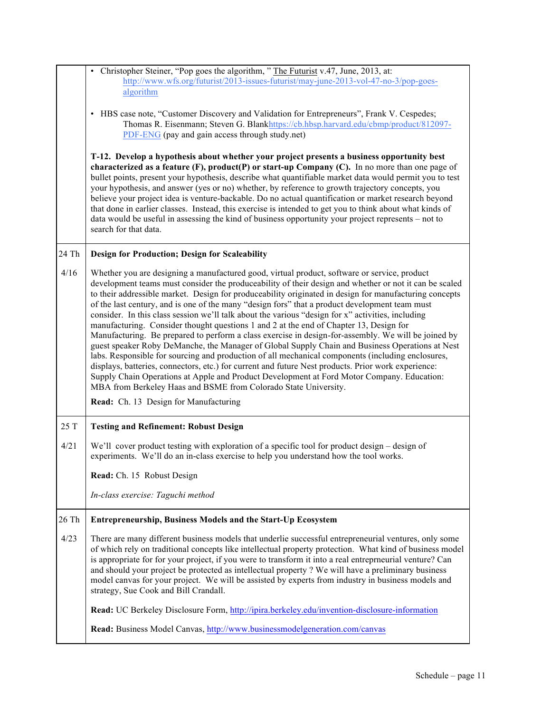|       | • Christopher Steiner, "Pop goes the algorithm, " The Futurist v.47, June, 2013, at:<br>http://www.wfs.org/futurist/2013-issues-futurist/may-june-2013-vol-47-no-3/pop-goes-<br>algorithm                                                                                                                                                                                                                                                                                                                                                                                                                                                                                                                                                                                                                                                                                                                                                                                                                                                                                                                                                                                                                |
|-------|----------------------------------------------------------------------------------------------------------------------------------------------------------------------------------------------------------------------------------------------------------------------------------------------------------------------------------------------------------------------------------------------------------------------------------------------------------------------------------------------------------------------------------------------------------------------------------------------------------------------------------------------------------------------------------------------------------------------------------------------------------------------------------------------------------------------------------------------------------------------------------------------------------------------------------------------------------------------------------------------------------------------------------------------------------------------------------------------------------------------------------------------------------------------------------------------------------|
|       | HBS case note, "Customer Discovery and Validation for Entrepreneurs", Frank V. Cespedes;<br>Thomas R. Eisenmann; Steven G. Blankhttps://cb.hbsp.harvard.edu/cbmp/product/812097-<br>PDF-ENG (pay and gain access through study.net)                                                                                                                                                                                                                                                                                                                                                                                                                                                                                                                                                                                                                                                                                                                                                                                                                                                                                                                                                                      |
|       | T-12. Develop a hypothesis about whether your project presents a business opportunity best<br>characterized as a feature $(F)$ , product $(P)$ or start-up Company $(C)$ . In no more than one page of<br>bullet points, present your hypothesis, describe what quantifiable market data would permit you to test<br>your hypothesis, and answer (yes or no) whether, by reference to growth trajectory concepts, you<br>believe your project idea is venture-backable. Do no actual quantification or market research beyond<br>that done in earlier classes. Instead, this exercise is intended to get you to think about what kinds of<br>data would be useful in assessing the kind of business opportunity your project represents – not to<br>search for that data.                                                                                                                                                                                                                                                                                                                                                                                                                                |
| 24 Th | <b>Design for Production; Design for Scaleability</b>                                                                                                                                                                                                                                                                                                                                                                                                                                                                                                                                                                                                                                                                                                                                                                                                                                                                                                                                                                                                                                                                                                                                                    |
| 4/16  | Whether you are designing a manufactured good, virtual product, software or service, product<br>development teams must consider the produceability of their design and whether or not it can be scaled<br>to their addressible market. Design for produceability originated in design for manufacturing concepts<br>of the last century, and is one of the many "design fors" that a product development team must<br>consider. In this class session we'll talk about the various "design for x" activities, including<br>manufacturing. Consider thought questions 1 and 2 at the end of Chapter 13, Design for<br>Manufacturing. Be prepared to perform a class exercise in design-for-assembly. We will be joined by<br>guest speaker Roby DeManche, the Manager of Global Supply Chain and Business Operations at Nest<br>labs. Responsible for sourcing and production of all mechanical components (including enclosures,<br>displays, batteries, connectors, etc.) for current and future Nest products. Prior work experience:<br>Supply Chain Operations at Apple and Product Development at Ford Motor Company. Education:<br>MBA from Berkeley Haas and BSME from Colorado State University. |
|       | Read: Ch. 13 Design for Manufacturing                                                                                                                                                                                                                                                                                                                                                                                                                                                                                                                                                                                                                                                                                                                                                                                                                                                                                                                                                                                                                                                                                                                                                                    |
| 25 T  | <b>Testing and Refinement: Robust Design</b>                                                                                                                                                                                                                                                                                                                                                                                                                                                                                                                                                                                                                                                                                                                                                                                                                                                                                                                                                                                                                                                                                                                                                             |
| 4/21  | We'll cover product testing with exploration of a specific tool for product design – design of<br>experiments. We'll do an in-class exercise to help you understand how the tool works.                                                                                                                                                                                                                                                                                                                                                                                                                                                                                                                                                                                                                                                                                                                                                                                                                                                                                                                                                                                                                  |
|       | Read: Ch. 15 Robust Design                                                                                                                                                                                                                                                                                                                                                                                                                                                                                                                                                                                                                                                                                                                                                                                                                                                                                                                                                                                                                                                                                                                                                                               |
|       | In-class exercise: Taguchi method                                                                                                                                                                                                                                                                                                                                                                                                                                                                                                                                                                                                                                                                                                                                                                                                                                                                                                                                                                                                                                                                                                                                                                        |
| 26 Th | <b>Entrepreneurship, Business Models and the Start-Up Ecosystem</b>                                                                                                                                                                                                                                                                                                                                                                                                                                                                                                                                                                                                                                                                                                                                                                                                                                                                                                                                                                                                                                                                                                                                      |
| 4/23  | There are many different business models that underlie successful entrepreneurial ventures, only some<br>of which rely on traditional concepts like intellectual property protection. What kind of business model<br>is appropriate for for your project, if you were to transform it into a real entreprneurial venture? Can<br>and should your project be protected as intellectual property ? We will have a preliminary business<br>model canvas for your project. We will be assisted by experts from industry in business models and<br>strategy, Sue Cook and Bill Crandall.                                                                                                                                                                                                                                                                                                                                                                                                                                                                                                                                                                                                                      |
|       | Read: UC Berkeley Disclosure Form, http://ipira.berkeley.edu/invention-disclosure-information                                                                                                                                                                                                                                                                                                                                                                                                                                                                                                                                                                                                                                                                                                                                                                                                                                                                                                                                                                                                                                                                                                            |
|       | Read: Business Model Canvas, http://www.businessmodelgeneration.com/canvas                                                                                                                                                                                                                                                                                                                                                                                                                                                                                                                                                                                                                                                                                                                                                                                                                                                                                                                                                                                                                                                                                                                               |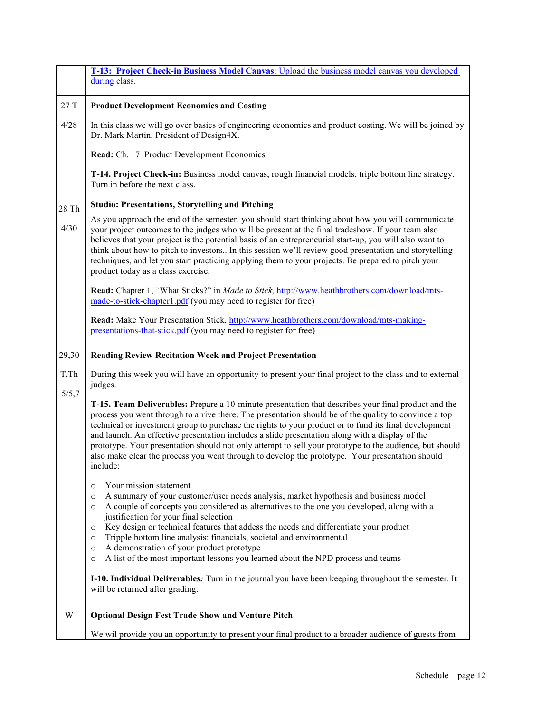|                | T-13: Project Check-in Business Model Canvas: Upload the business model canvas you developed<br>during class.                                                                                                                                                                                                                                                                                                                                                                                                                                                                                                                                      |
|----------------|----------------------------------------------------------------------------------------------------------------------------------------------------------------------------------------------------------------------------------------------------------------------------------------------------------------------------------------------------------------------------------------------------------------------------------------------------------------------------------------------------------------------------------------------------------------------------------------------------------------------------------------------------|
| $27\ {\rm T}$  | <b>Product Development Economics and Costing</b>                                                                                                                                                                                                                                                                                                                                                                                                                                                                                                                                                                                                   |
| 4/28           | In this class we will go over basics of engineering economics and product costing. We will be joined by<br>Dr. Mark Martin, President of Design4X.                                                                                                                                                                                                                                                                                                                                                                                                                                                                                                 |
|                | Read: Ch. 17 Product Development Economics                                                                                                                                                                                                                                                                                                                                                                                                                                                                                                                                                                                                         |
|                | T-14. Project Check-in: Business model canvas, rough financial models, triple bottom line strategy.<br>Turn in before the next class.                                                                                                                                                                                                                                                                                                                                                                                                                                                                                                              |
| 28 Th          | <b>Studio: Presentations, Storytelling and Pitching</b>                                                                                                                                                                                                                                                                                                                                                                                                                                                                                                                                                                                            |
| 4/30           | As you approach the end of the semester, you should start thinking about how you will communicate<br>your project outcomes to the judges who will be present at the final tradeshow. If your team also<br>believes that your project is the potential basis of an entrepreneurial start-up, you will also want to<br>think about how to pitch to investors In this session we'll review good presentation and storytelling<br>techniques, and let you start practicing applying them to your projects. Be prepared to pitch your<br>product today as a class exercise.                                                                             |
|                | Read: Chapter 1, "What Sticks?" in Made to Stick, http://www.heathbrothers.com/download/mts-<br>made-to-stick-chapter1.pdf (you may need to register for free)                                                                                                                                                                                                                                                                                                                                                                                                                                                                                     |
|                | Read: Make Your Presentation Stick, http://www.heathbrothers.com/download/mts-making-<br>presentations-that-stick.pdf (you may need to register for free)                                                                                                                                                                                                                                                                                                                                                                                                                                                                                          |
| 29,30          | <b>Reading Review Recitation Week and Project Presentation</b>                                                                                                                                                                                                                                                                                                                                                                                                                                                                                                                                                                                     |
| T, Th<br>5/5,7 | During this week you will have an opportunity to present your final project to the class and to external<br>judges.                                                                                                                                                                                                                                                                                                                                                                                                                                                                                                                                |
|                | T-15. Team Deliverables: Prepare a 10-minute presentation that describes your final product and the<br>process you went through to arrive there. The presentation should be of the quality to convince a top<br>technical or investment group to purchase the rights to your product or to fund its final development<br>and launch. An effective presentation includes a slide presentation along with a display of the<br>prototype. Your presentation should not only attempt to sell your prototype to the audience, but should<br>also make clear the process you went through to develop the prototype. Your presentation should<br>include: |
|                | Your mission statement<br>O<br>A summary of your customer/user needs analysis, market hypothesis and business model<br>$\circ$<br>A couple of concepts you considered as alternatives to the one you developed, along with a<br>$\circ$<br>justification for your final selection<br>Key design or technical features that addess the needs and differentiate your product<br>O<br>Tripple bottom line analysis: financials, societal and environmental<br>O<br>A demonstration of your product prototype<br>$\circ$<br>A list of the most important lessons you learned about the NPD process and teams<br>$\circ$                                |
|                | <b>I-10. Individual Deliverables:</b> Turn in the journal you have been keeping throughout the semester. It<br>will be returned after grading.                                                                                                                                                                                                                                                                                                                                                                                                                                                                                                     |
| W              | <b>Optional Design Fest Trade Show and Venture Pitch</b>                                                                                                                                                                                                                                                                                                                                                                                                                                                                                                                                                                                           |
|                | We wil provide you an opportunity to present your final product to a broader audience of guests from                                                                                                                                                                                                                                                                                                                                                                                                                                                                                                                                               |